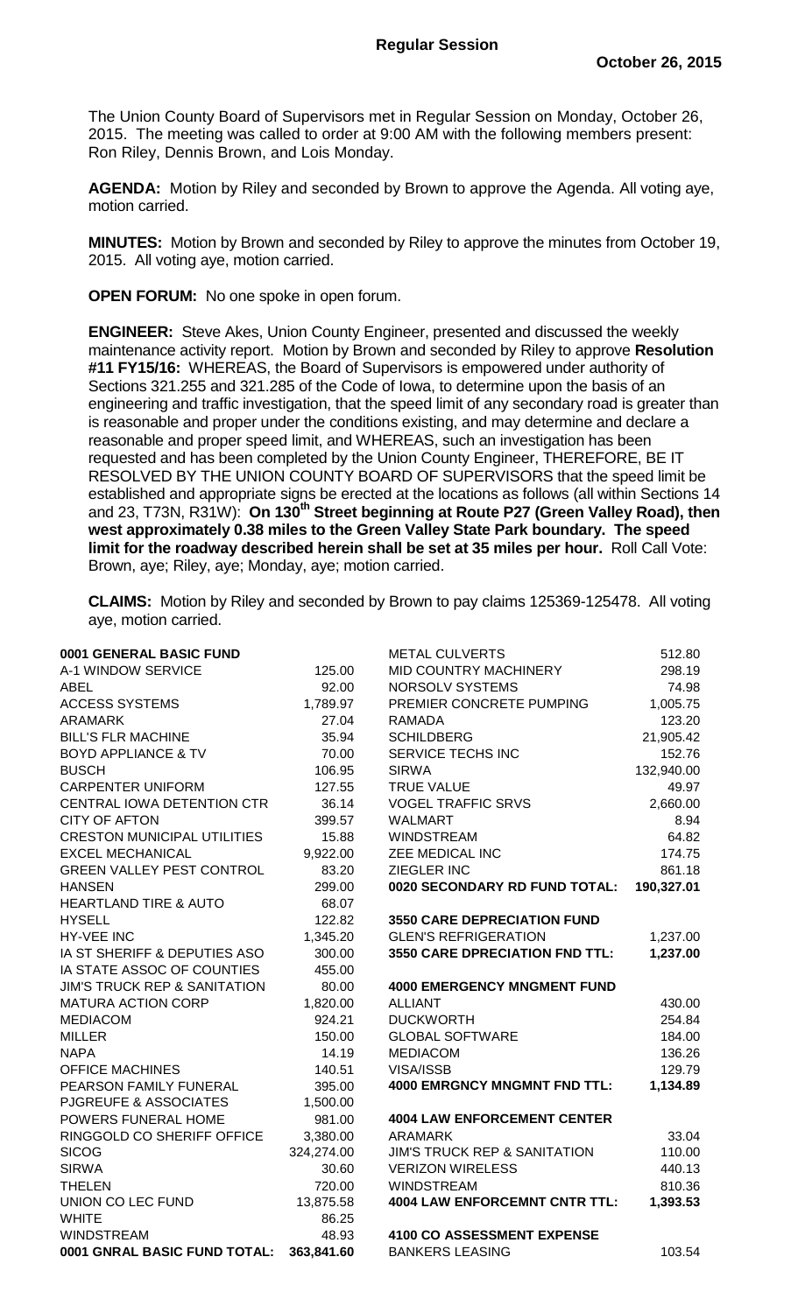The Union County Board of Supervisors met in Regular Session on Monday, October 26, 2015. The meeting was called to order at 9:00 AM with the following members present: Ron Riley, Dennis Brown, and Lois Monday.

**AGENDA:** Motion by Riley and seconded by Brown to approve the Agenda. All voting aye, motion carried.

**MINUTES:** Motion by Brown and seconded by Riley to approve the minutes from October 19, 2015. All voting aye, motion carried.

**OPEN FORUM:** No one spoke in open forum.

**ENGINEER:** Steve Akes, Union County Engineer, presented and discussed the weekly maintenance activity report. Motion by Brown and seconded by Riley to approve **Resolution #11 FY15/16:** WHEREAS, the Board of Supervisors is empowered under authority of Sections 321.255 and 321.285 of the Code of Iowa, to determine upon the basis of an engineering and traffic investigation, that the speed limit of any secondary road is greater than is reasonable and proper under the conditions existing, and may determine and declare a reasonable and proper speed limit, and WHEREAS, such an investigation has been requested and has been completed by the Union County Engineer, THEREFORE, BE IT RESOLVED BY THE UNION COUNTY BOARD OF SUPERVISORS that the speed limit be established and appropriate signs be erected at the locations as follows (all within Sections 14 and 23, T73N, R31W): **On 130th Street beginning at Route P27 (Green Valley Road), then west approximately 0.38 miles to the Green Valley State Park boundary. The speed limit for the roadway described herein shall be set at 35 miles per hour.** Roll Call Vote: Brown, aye; Riley, aye; Monday, aye; motion carried.

**CLAIMS:** Motion by Riley and seconded by Brown to pay claims 125369-125478. All voting aye, motion carried.

| 0001 GENERAL BASIC FUND                 |            | <b>METAL CULVERTS</b>                   | 512.80     |
|-----------------------------------------|------------|-----------------------------------------|------------|
| A-1 WINDOW SERVICE                      | 125.00     | MID COUNTRY MACHINERY                   | 298.19     |
| <b>ABEL</b>                             | 92.00      | NORSOLV SYSTEMS                         | 74.98      |
| <b>ACCESS SYSTEMS</b>                   | 1,789.97   | PREMIER CONCRETE PUMPING                | 1,005.75   |
| <b>ARAMARK</b>                          | 27.04      | <b>RAMADA</b>                           | 123.20     |
| <b>BILL'S FLR MACHINE</b>               | 35.94      | <b>SCHILDBERG</b>                       | 21,905.42  |
| <b>BOYD APPLIANCE &amp; TV</b>          | 70.00      | SERVICE TECHS INC                       | 152.76     |
| <b>BUSCH</b>                            | 106.95     | <b>SIRWA</b>                            | 132,940.00 |
| <b>CARPENTER UNIFORM</b>                | 127.55     | <b>TRUE VALUE</b>                       | 49.97      |
| CENTRAL IOWA DETENTION CTR              | 36.14      | <b>VOGEL TRAFFIC SRVS</b>               | 2,660.00   |
| <b>CITY OF AFTON</b>                    | 399.57     | <b>WALMART</b>                          | 8.94       |
| <b>CRESTON MUNICIPAL UTILITIES</b>      | 15.88      | <b>WINDSTREAM</b>                       | 64.82      |
| <b>EXCEL MECHANICAL</b>                 | 9,922.00   | ZEE MEDICAL INC                         | 174.75     |
| <b>GREEN VALLEY PEST CONTROL</b>        | 83.20      | ZIEGLER INC                             | 861.18     |
| <b>HANSEN</b>                           | 299.00     | 0020 SECONDARY RD FUND TOTAL:           | 190,327.01 |
| <b>HEARTLAND TIRE &amp; AUTO</b>        | 68.07      |                                         |            |
| <b>HYSELL</b>                           | 122.82     | <b>3550 CARE DEPRECIATION FUND</b>      |            |
| <b>HY-VEE INC</b>                       | 1,345.20   | <b>GLEN'S REFRIGERATION</b>             | 1,237.00   |
| IA ST SHERIFF & DEPUTIES ASO            | 300.00     | <b>3550 CARE DPRECIATION FND TTL:</b>   | 1,237.00   |
| IA STATE ASSOC OF COUNTIES              | 455.00     |                                         |            |
| <b>JIM'S TRUCK REP &amp; SANITATION</b> | 80.00      | <b>4000 EMERGENCY MNGMENT FUND</b>      |            |
| <b>MATURA ACTION CORP</b>               | 1,820.00   | <b>ALLIANT</b>                          | 430.00     |
| <b>MEDIACOM</b>                         | 924.21     | <b>DUCKWORTH</b>                        | 254.84     |
| <b>MILLER</b>                           | 150.00     | <b>GLOBAL SOFTWARE</b>                  | 184.00     |
| <b>NAPA</b>                             | 14.19      | <b>MEDIACOM</b>                         | 136.26     |
| <b>OFFICE MACHINES</b>                  | 140.51     | VISA/ISSB                               | 129.79     |
| PEARSON FAMILY FUNERAL                  | 395.00     | <b>4000 EMRGNCY MNGMNT FND TTL:</b>     | 1,134.89   |
| PJGREUFE & ASSOCIATES                   | 1,500.00   |                                         |            |
| POWERS FUNERAL HOME                     | 981.00     | <b>4004 LAW ENFORCEMENT CENTER</b>      |            |
| RINGGOLD CO SHERIFF OFFICE              | 3,380.00   | <b>ARAMARK</b>                          | 33.04      |
| <b>SICOG</b>                            | 324,274.00 | <b>JIM'S TRUCK REP &amp; SANITATION</b> | 110.00     |
| <b>SIRWA</b>                            | 30.60      | <b>VERIZON WIRELESS</b>                 | 440.13     |
| THELEN                                  | 720.00     | <b>WINDSTREAM</b>                       | 810.36     |
| UNION CO LEC FUND                       | 13,875.58  | <b>4004 LAW ENFORCEMNT CNTR TTL:</b>    | 1,393.53   |
| <b>WHITE</b>                            | 86.25      |                                         |            |
| <b>WINDSTREAM</b>                       | 48.93      | <b>4100 CO ASSESSMENT EXPENSE</b>       |            |
| 0001 GNRAL BASIC FUND TOTAL:            | 363,841.60 | <b>BANKERS LEASING</b>                  | 103.54     |
|                                         |            |                                         |            |